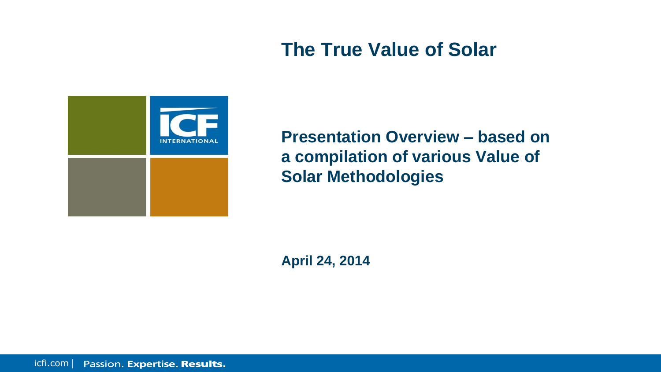#### **The True Value of Solar**



**Presentation Overview – based on a compilation of various Value of Solar Methodologies**

**April 24, 2014**

icfi.com | Passion. Expertise. Results.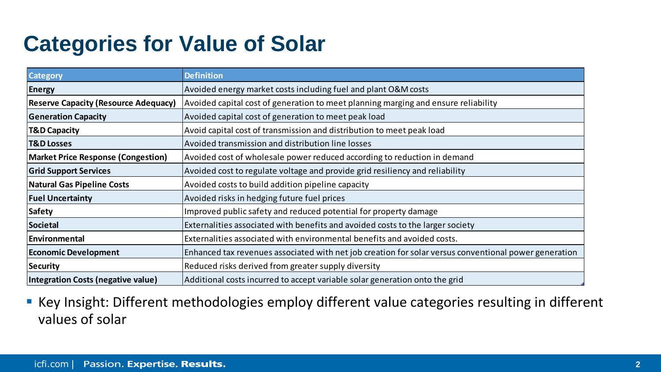## **Categories for Value of Solar**

| <b>Category</b>                             | <b>Definition</b>                                                                                     |  |  |  |  |  |  |
|---------------------------------------------|-------------------------------------------------------------------------------------------------------|--|--|--|--|--|--|
| <b>Energy</b>                               | Avoided energy market costs including fuel and plant O&M costs                                        |  |  |  |  |  |  |
| <b>Reserve Capacity (Resource Adequacy)</b> | Avoided capital cost of generation to meet planning marging and ensure reliability                    |  |  |  |  |  |  |
| <b>Generation Capacity</b>                  | Avoided capital cost of generation to meet peak load                                                  |  |  |  |  |  |  |
| <b>T&amp;D Capacity</b>                     | Avoid capital cost of transmission and distribution to meet peak load                                 |  |  |  |  |  |  |
| <b>T&amp;D Losses</b>                       | Avoided transmission and distribution line losses                                                     |  |  |  |  |  |  |
| <b>Market Price Response (Congestion)</b>   | Avoided cost of wholesale power reduced according to reduction in demand                              |  |  |  |  |  |  |
| <b>Grid Support Services</b>                | Avoided cost to regulate voltage and provide grid resiliency and reliability                          |  |  |  |  |  |  |
| <b>Natural Gas Pipeline Costs</b>           | Avoided costs to build addition pipeline capacity                                                     |  |  |  |  |  |  |
| <b>Fuel Uncertainty</b>                     | Avoided risks in hedging future fuel prices                                                           |  |  |  |  |  |  |
| <b>Safety</b>                               | Improved public safety and reduced potential for property damage                                      |  |  |  |  |  |  |
| <b>Societal</b>                             | Externalities associated with benefits and avoided costs to the larger society                        |  |  |  |  |  |  |
| <b>Environmental</b>                        | Externalities associated with environmental benefits and avoided costs.                               |  |  |  |  |  |  |
| <b>Economic Development</b>                 | Enhanced tax revenues associated with net job creation for solar versus conventional power generation |  |  |  |  |  |  |
| <b>Security</b>                             | Reduced risks derived from greater supply diversity                                                   |  |  |  |  |  |  |
| Integration Costs (negative value)          | Additional costs incurred to accept variable solar generation onto the grid                           |  |  |  |  |  |  |

**Key Insight: Different methodologies employ different value categories resulting in different** values of solar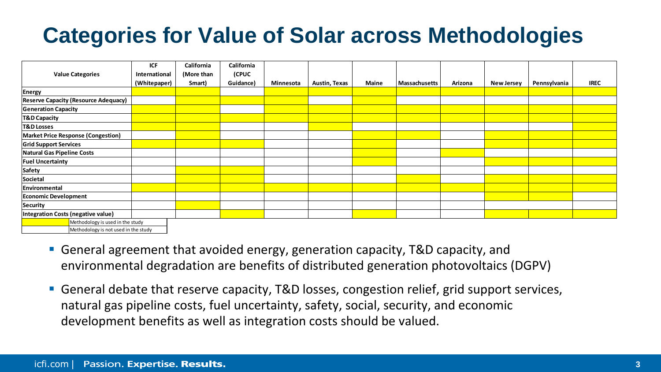# **Categories for Value of Solar across Methodologies**

|                                             | ICF           | California | California |           |               |       |               |         |            |              |             |
|---------------------------------------------|---------------|------------|------------|-----------|---------------|-------|---------------|---------|------------|--------------|-------------|
| <b>Value Categories</b>                     | International | (More than | (CPUC      |           |               |       |               |         |            |              |             |
|                                             | (Whitepaper)  | Smart)     | Guidance)  | Minnesota | Austin, Texas | Maine | Massachusetts | Arizona | New Jersey | Pennsylvania | <b>IREC</b> |
| Energy                                      |               |            |            |           |               |       |               |         |            |              |             |
| <b>Reserve Capacity (Resource Adequacy)</b> |               |            |            |           |               |       |               |         |            |              |             |
| <b>Generation Capacity</b>                  |               |            |            |           |               |       |               |         |            |              |             |
| T&D Capacity                                |               |            |            |           |               |       |               |         |            |              |             |
| <b>T&amp;D Losses</b>                       |               |            |            |           |               |       |               |         |            |              |             |
| Market Price Response (Congestion)          |               |            |            |           |               |       |               |         |            |              |             |
| <b>Grid Support Services</b>                |               |            |            |           |               |       |               |         |            |              |             |
| <b>Natural Gas Pipeline Costs</b>           |               |            |            |           |               |       |               |         |            |              |             |
| <b>Fuel Uncertainty</b>                     |               |            |            |           |               |       |               |         |            |              |             |
| Safety                                      |               |            |            |           |               |       |               |         |            |              |             |
| Societal                                    |               |            |            |           |               |       |               |         |            |              |             |
| Environmental                               |               |            |            |           |               |       |               |         |            |              |             |
| <b>Economic Development</b>                 |               |            |            |           |               |       |               |         |            |              |             |
| <b>Security</b>                             |               |            |            |           |               |       |               |         |            |              |             |
| <b>Integration Costs (negative value)</b>   |               |            |            |           |               |       |               |         |            |              |             |
| Methodology is used in the study            |               |            |            |           |               |       |               |         |            |              |             |
| Methodology is not used in the study        |               |            |            |           |               |       |               |         |            |              |             |

- General agreement that avoided energy, generation capacity, T&D capacity, and environmental degradation are benefits of distributed generation photovoltaics (DGPV)
- General debate that reserve capacity, T&D losses, congestion relief, grid support services, natural gas pipeline costs, fuel uncertainty, safety, social, security, and economic development benefits as well as integration costs should be valued.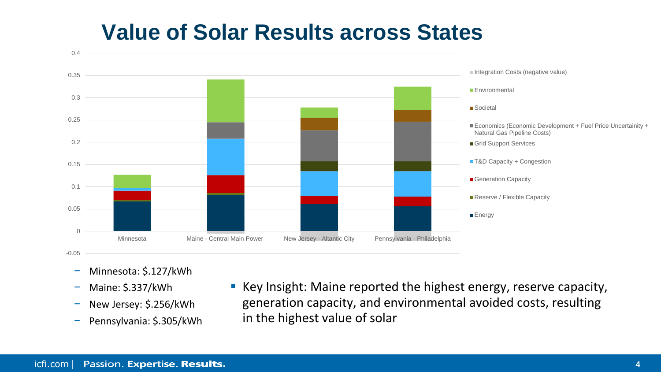## **Value of Solar Results across States**



- − Minnesota: \$.127/kWh
- − Maine: \$.337/kWh
- − New Jersey: \$.256/kWh
- − Pennsylvania: \$.305/kWh
- **Key Insight: Maine reported the highest energy, reserve capacity,** generation capacity, and environmental avoided costs, resulting in the highest value of solar